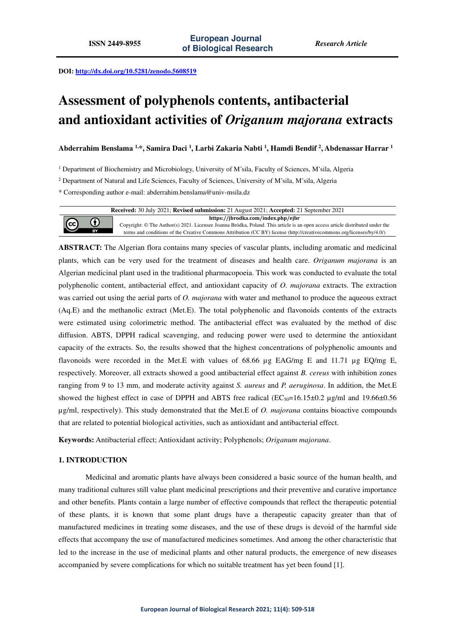**DOI: http://dx.doi.org/10.5281/zenodo.5608519** 

# **Assessment of polyphenols contents, antibacterial and antioxidant activities of** *Origanum majorana* **extracts**

**Abderrahim Benslama 1,\*, Samira Daci <sup>1</sup> , Larbi Zakaria Nabti <sup>1</sup> , Hamdi Bendif <sup>2</sup> , Abdenassar Harrar <sup>1</sup>**

<sup>1</sup> Department of Biochemistry and Microbiology, University of M'sila, Faculty of Sciences, M'sila, Algeria

2 Department of Natural and Life Sciences, Faculty of Sciences, University of M'sila, M'sila, Algeria

\* Corresponding author e-mail: abderrahim.benslama@univ-msila.dz



**ABSTRACT:** The Algerian flora contains many species of vascular plants, including aromatic and medicinal plants, which can be very used for the treatment of diseases and health care. *Origanum majorana* is an Algerian medicinal plant used in the traditional pharmacopoeia. This work was conducted to evaluate the total polyphenolic content, antibacterial effect, and antioxidant capacity of *O. majorana* extracts. The extraction was carried out using the aerial parts of *O. majorana* with water and methanol to produce the aqueous extract (Aq.E) and the methanolic extract (Met.E). The total polyphenolic and flavonoids contents of the extracts were estimated using colorimetric method. The antibacterial effect was evaluated by the method of disc diffusion. ABTS, DPPH radical scavenging, and reducing power were used to determine the antioxidant capacity of the extracts. So, the results showed that the highest concentrations of polyphenolic amounts and flavonoids were recorded in the Met.E with values of 68.66  $\mu$ g EAG/mg E and 11.71  $\mu$ g EQ/mg E, respectively. Moreover, all extracts showed a good antibacterial effect against *B. cereus* with inhibition zones ranging from 9 to 13 mm, and moderate activity against *S. aureus* and *P. aeruginosa*. In addition, the Met.E showed the highest effect in case of DPPH and ABTS free radical ( $EC_{50}=16.15\pm0.2$  µg/ml and 19.66 $\pm0.56$ µg/ml, respectively). This study demonstrated that the Met.E of *O. majorana* contains bioactive compounds that are related to potential biological activities, such as antioxidant and antibacterial effect.

**Keywords:** Antibacterial effect; Antioxidant activity; Polyphenols; *Origanum majorana*.

## **1. INTRODUCTION**

 $\left(\mathrm{cc}\right)$ 

Medicinal and aromatic plants have always been considered a basic source of the human health, and many traditional cultures still value plant medicinal prescriptions and their preventive and curative importance and other benefits. Plants contain a large number of effective compounds that reflect the therapeutic potential of these plants, it is known that some plant drugs have a therapeutic capacity greater than that of manufactured medicines in treating some diseases, and the use of these drugs is devoid of the harmful side effects that accompany the use of manufactured medicines sometimes. And among the other characteristic that led to the increase in the use of medicinal plants and other natural products, the emergence of new diseases accompanied by severe complications for which no suitable treatment has yet been found [1].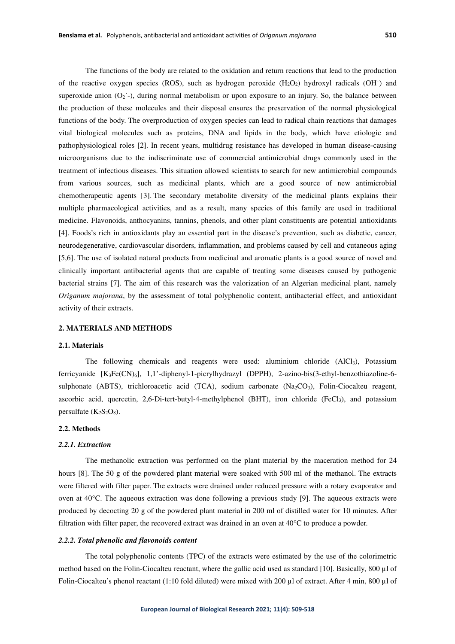The functions of the body are related to the oxidation and return reactions that lead to the production of the reactive oxygen species (ROS), such as hydrogen peroxide  $(H_2O_2)$  hydroxyl radicals (OH $\cdot$ ) and superoxide anion  $(O_2^-)$ , during normal metabolism or upon exposure to an injury. So, the balance between the production of these molecules and their disposal ensures the preservation of the normal physiological functions of the body. The overproduction of oxygen species can lead to radical chain reactions that damages vital biological molecules such as proteins, DNA and lipids in the body, which have etiologic and pathophysiological roles [2]. In recent years, multidrug resistance has developed in human disease-causing microorganisms due to the indiscriminate use of commercial antimicrobial drugs commonly used in the treatment of infectious diseases. This situation allowed scientists to search for new antimicrobial compounds from various sources, such as medicinal plants, which are a good source of new antimicrobial chemotherapeutic agents [3]. The secondary metabolite diversity of the medicinal plants explains their multiple pharmacological activities, and as a result, many species of this family are used in traditional medicine. Flavonoids, anthocyanins, tannins, phenols, and other plant constituents are potential antioxidants [4]. Foods's rich in antioxidants play an essential part in the disease's prevention, such as diabetic, cancer, neurodegenerative, cardiovascular disorders, inflammation, and problems caused by cell and cutaneous aging [5,6]. The use of isolated natural products from medicinal and aromatic plants is a good source of novel and clinically important antibacterial agents that are capable of treating some diseases caused by pathogenic bacterial strains [7]. The aim of this research was the valorization of an Algerian medicinal plant, namely *Origanum majorana*, by the assessment of total polyphenolic content, antibacterial effect, and antioxidant activity of their extracts.

#### **2. MATERIALS AND METHODS**

#### **2.1. Materials**

The following chemicals and reagents were used: aluminium chloride  $(AICI<sub>3</sub>)$ , Potassium ferricyanide [K3Fe(CN)6], 1,1'-diphenyl-1-picrylhydrazyl (DPPH), 2-azino-bis(3-ethyl-benzothiazoline-6 sulphonate (ABTS), trichloroacetic acid (TCA), sodium carbonate (Na<sub>2</sub>CO<sub>3</sub>), Folin-Ciocalteu reagent, ascorbic acid, quercetin,  $2.6$ -Di-tert-butyl-4-methylphenol (BHT), iron chloride (FeCl<sub>3</sub>), and potassium persulfate  $(K_2S_2O_8)$ .

#### **2.2. Methods**

#### *2.2.1. Extraction*

The methanolic extraction was performed on the plant material by the maceration method for 24 hours [8]. The 50 g of the powdered plant material were soaked with 500 ml of the methanol. The extracts were filtered with filter paper. The extracts were drained under reduced pressure with a rotary evaporator and oven at 40°C. The aqueous extraction was done following a previous study [9]. The aqueous extracts were produced by decocting 20 g of the powdered plant material in 200 ml of distilled water for 10 minutes. After filtration with filter paper, the recovered extract was drained in an oven at 40°C to produce a powder.

#### *2.2.2. Total phenolic and flavonoids content*

The total polyphenolic contents (TPC) of the extracts were estimated by the use of the colorimetric method based on the Folin-Ciocalteu reactant, where the gallic acid used as standard [10]. Basically, 800 µl of Folin-Ciocalteu's phenol reactant (1:10 fold diluted) were mixed with 200  $\mu$ l of extract. After 4 min, 800  $\mu$ l of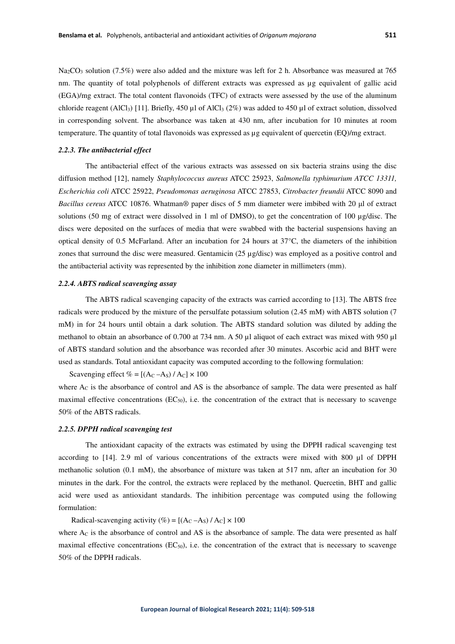Na<sub>2</sub>CO<sub>3</sub> solution (7.5%) were also added and the mixture was left for 2 h. Absorbance was measured at 765 nm. The quantity of total polyphenols of different extracts was expressed as µg equivalent of gallic acid (EGA)/mg extract. The total content flavonoids (TFC) of extracts were assessed by the use of the aluminum chloride reagent (AlCl<sub>3</sub>) [11]. Briefly, 450 µl of AlCl<sub>3</sub> (2%) was added to 450 µl of extract solution, dissolved in corresponding solvent. The absorbance was taken at 430 nm, after incubation for 10 minutes at room temperature. The quantity of total flavonoids was expressed as µg equivalent of quercetin (EQ)/mg extract.

### *2.2.3. The antibacterial effect*

The antibacterial effect of the various extracts was assessed on six bacteria strains using the disc diffusion method [12], namely *Staphylococcus aureus* ATCC 25923, *Salmonella typhimurium ATCC 13311, Escherichia coli* ATCC 25922, *Pseudomonas aeruginosa* ATCC 27853, *Citrobacter freundii* ATCC 8090 and *Bacillus cereus* ATCC 10876. Whatman® paper discs of 5 mm diameter were imbibed with 20 μl of extract solutions (50 mg of extract were dissolved in 1 ml of DMSO), to get the concentration of 100 µg/disc. The discs were deposited on the surfaces of media that were swabbed with the bacterial suspensions having an optical density of 0.5 McFarland. After an incubation for 24 hours at 37°C, the diameters of the inhibition zones that surround the disc were measured. Gentamicin (25 µg/disc) was employed as a positive control and the antibacterial activity was represented by the inhibition zone diameter in millimeters (mm).

#### *2.2.4. ABTS radical scavenging assay*

The ABTS radical scavenging capacity of the extracts was carried according to [13]. The ABTS free radicals were produced by the mixture of the persulfate potassium solution (2.45 mM) with ABTS solution (7 mM) in for 24 hours until obtain a dark solution. The ABTS standard solution was diluted by adding the methanol to obtain an absorbance of 0.700 at 734 nm. A 50 µl aliquot of each extract was mixed with 950 µl of ABTS standard solution and the absorbance was recorded after 30 minutes. Ascorbic acid and BHT were used as standards. Total antioxidant capacity was computed according to the following formulation:

Scavenging effect  $\% = [(A_C - A_S)/A_C] \times 100$ 

where  $A_C$  is the absorbance of control and AS is the absorbance of sample. The data were presented as half maximal effective concentrations  $(EC_{50})$ , i.e. the concentration of the extract that is necessary to scavenge 50% of the ABTS radicals.

### *2.2.5. DPPH radical scavenging test*

The antioxidant capacity of the extracts was estimated by using the DPPH radical scavenging test according to [14]. 2.9 ml of various concentrations of the extracts were mixed with 800 µl of DPPH methanolic solution (0.1 mM), the absorbance of mixture was taken at 517 nm, after an incubation for 30 minutes in the dark. For the control, the extracts were replaced by the methanol. Quercetin, BHT and gallic acid were used as antioxidant standards. The inhibition percentage was computed using the following formulation:

Radical-scavenging activity  $(\%)=$  [(A<sub>C</sub> –A<sub>S</sub>) / A<sub>C</sub>]  $\times$  100

where A<sub>C</sub> is the absorbance of control and AS is the absorbance of sample. The data were presented as half maximal effective concentrations  $(EC_{50})$ , i.e. the concentration of the extract that is necessary to scavenge 50% of the DPPH radicals.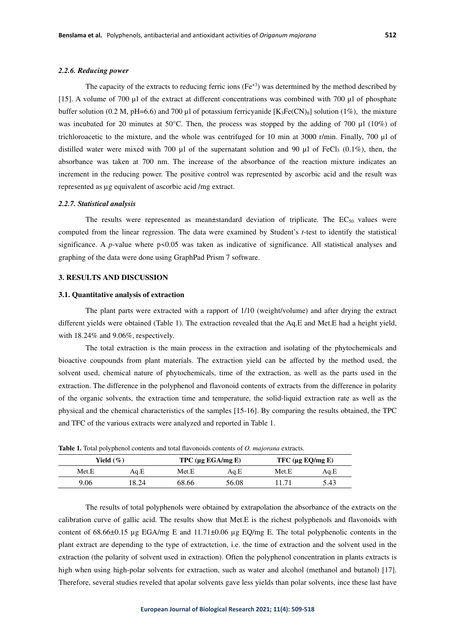#### *2.2.6. Reducing power*

The capacity of the extracts to reducing ferric ions ( $Fe<sup>+3</sup>$ ) was determined by the method described by [15]. A volume of 700 µl of the extract at different concentrations was combined with 700 µl of phosphate buffer solution (0.2 M, pH=6.6) and 700 µl of potassium ferricyanide  $[K_3Fe(CN)_6]$  solution (1%), the mixture was incubated for 20 minutes at 50°C. Then, the process was stopped by the adding of 700  $\mu$ l (10%) of trichloroacetic to the mixture, and the whole was centrifuged for 10 min at 3000 r/min. Finally, 700 µl of distilled water were mixed with 700  $\mu$ l of the supernatant solution and 90  $\mu$ l of FeCl<sub>3</sub> (0.1%), then, the absorbance was taken at 700 nm. The increase of the absorbance of the reaction mixture indicates an increment in the reducing power. The positive control was represented by ascorbic acid and the result was represented as µg equivalent of ascorbic acid /mg extract.

#### *2.2.7. Statistical analysis*

The results were represented as mean $\pm$ standard deviation of triplicate. The EC $_{50}$  values were computed from the linear regression. The data were examined by Student's *t*-test to identify the statistical significance. A  $p$ -value where  $p \le 0.05$  was taken as indicative of significance. All statistical analyses and graphing of the data were done using GraphPad Prism 7 software.

## **3. RESULTS AND DISCUSSION**

#### **3.1. Quantitative analysis of extraction**

The plant parts were extracted with a rapport of 1/10(weight/volume) and after drying the extract different yields were obtained (Table 1). The extraction revealed that the Aq.E and Met.E had a height yield, with 18.24% and 9.06%, respectively.

The total extraction is the main process in the extraction and isolating of the phytochemicals and bioactive coupounds from plant materials. The extraction yield can be affected by the method used, the solvent used, chemical nature of phytochemicals, time of the extraction, as well as the parts used in the extraction. The difference in the polyphenol and flavonoid contents of extracts from the difference in polarity of the organic solvents, the extraction time and temperature, the solid-liquid extraction rate as well as the physical and the chemical characteristics of the samples [15-16]. By comparing the results obtained, the TPC and TFC of the various extracts were analyzed and reported in Table 1.

| .            |       |                        |       |                  |      |
|--------------|-------|------------------------|-------|------------------|------|
| Yield $(\%)$ |       | TPC $(\mu g EGA/mg E)$ |       | TFC (µg EQ/mg E) |      |
| Met.E        | Aq.E  | Met.E                  | Aq.E  | Met.E            | Aq.E |
| 9.06         | 18.24 | 68.66                  | 56.08 | 11.71            | 5.43 |

**Table 1.** Total polyphenol contents and total flavonoids contents of *O. majorana* extracts.

The results of total polyphenols were obtained by extrapolation the absorbance of the extracts on the calibration curve of gallic acid. The results show that Met.E is the richest polyphenols and flavonoids with content of 68.66±0.15 µg EGA/mg E and 11.71±0.06 µg EQ/mg E. The total polyphenolic contents in the plant extract are depending to the type of extractction, i.e. the time of extraction and the solvent used in the extraction (the polarity of solvent used in extraction). Often the polyphenol concentration in plants extracts is high when using high-polar solvents for extraction, such as water and alcohol (methanol and butanol) [17]. Therefore, several studies reveled that apolar solvents gave less yields than polar solvents, ince these last have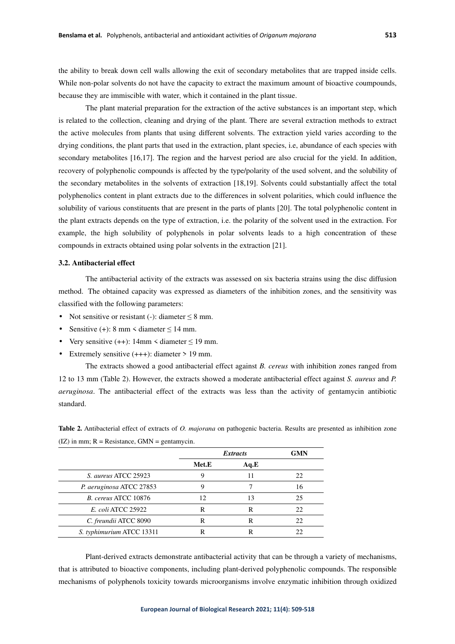the ability to break down cell walls allowing the exit of secondary metabolites that are trapped inside cells. While non-polar solvents do not have the capacity to extract the maximum amount of bioactive coumpounds, because they are immiscible with water, which it contained in the plant tissue.

The plant material preparation for the extraction of the active substances is an important step, which is related to the collection, cleaning and drying of the plant. There are several extraction methods to extract the active molecules from plants that using different solvents. The extraction yield varies according to the drying conditions, the plant parts that used in the extraction, plant species, i.e, abundance of each species with secondary metabolites [16,17]. The region and the harvest period are also crucial for the yield. In addition, recovery of polyphenolic compounds is affected by the type/polarity of the used solvent, and the solubility of the secondary metabolites in the solvents of extraction [18,19]. Solvents could substantially affect the total polyphenolics content in plant extracts due to the differences in solvent polarities, which could influence the solubility of various constituents that are present in the parts of plants [20]. The total polyphenolic content in the plant extracts depends on the type of extraction, i.e. the polarity of the solvent used in the extraction. For example, the high solubility of polyphenols in polar solvents leads to a high concentration of these compounds in extracts obtained using polar solvents in the extraction [21].

## **3.2. Antibacterial effect**

The antibacterial activity of the extracts was assessed on six bacteria strains using the disc diffusion method. The obtained capacity was expressed as diameters of the inhibition zones, and the sensitivity was classified with the following parameters:

- Not sensitive or resistant (-): diameter  $\leq 8$  mm.
- Sensitive (+):  $8 \text{ mm} <$  diameter  $\leq 14 \text{ mm}$ .
- Very sensitive  $(++)$ : 14mm < diameter  $\leq$  19 mm.
- Extremely sensitive  $(+++)$ : diameter > 19 mm.

The extracts showed a good antibacterial effect against *B. cereus* with inhibition zones ranged from 12 to 13 mm (Table 2). However, the extracts showed a moderate antibacterial effect against *S. aureus* and *P. aeruginosa*. The antibacterial effect of the extracts was less than the activity of gentamycin antibiotic standard.

**Table 2.** Antibacterial effect of extracts of *O. majorana* on pathogenic bacteria. Results are presented as inhibition zone  $(IZ)$  in mm;  $R =$  Resistance, GMN = gentamycin.

|                           | <b>Extracts</b> |      | <b>GMN</b> |
|---------------------------|-----------------|------|------------|
|                           | Met.E           | Aq.E |            |
| S. aureus ATCC 25923      |                 |      | 22         |
| P. aeruginosa ATCC 27853  | Q               |      | 16         |
| B. cereus ATCC 10876      | 12              | 13   | 25         |
| <i>E. coli ATCC 25922</i> | R               | R    | 22         |
| C. freundii ATCC 8090     | R               |      | 22         |
| S. typhimurium ATCC 13311 | R               |      |            |

Plant-derived extracts demonstrate antibacterial activity that can be through a variety of mechanisms, that is attributed to bioactive components, including plant-derived polyphenolic compounds. The responsible mechanisms of polyphenols toxicity towards microorganisms involve enzymatic inhibition through oxidized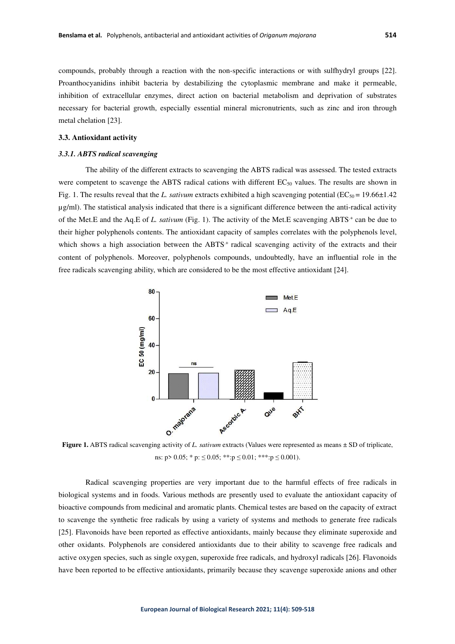compounds, probably through a reaction with the non-specific interactions or with sulfhydryl groups [22]. Proanthocyanidins inhibit bacteria by destabilizing the cytoplasmic membrane and make it permeable, inhibition of extracellular enzymes, direct action on bacterial metabolism and deprivation of substrates necessary for bacterial growth, especially essential mineral micronutrients, such as zinc and iron through metal chelation [23].

## **3.3. Antioxidant activity**

#### *3.3.1. ABTS radical scavenging*

The ability of the different extracts to scavenging the ABTS radical was assessed. The tested extracts were competent to scavenge the ABTS radical cations with different  $EC_{50}$  values. The results are shown in Fig. 1. The results reveal that the *L. sativum* extracts exhibited a high scavenging potential ( $EC_{50} = 19.66 \pm 1.42$ ) µg/ml). The statistical analysis indicated that there is a significant difference between the anti-radical activity of the Met.E and the Aq.E of *L. sativum* (Fig. 1). The activity of the Met.E scavenging ABTS<sup>+</sup> can be due to their higher polyphenols contents. The antioxidant capacity of samples correlates with the polyphenols level, which shows a high association between the ABTS<sup>+</sup> radical scavenging activity of the extracts and their content of polyphenols. Moreover, polyphenols compounds, undoubtedly, have an influential role in the free radicals scavenging ability, which are considered to be the most effective antioxidant [24].



**Figure 1.** ABTS radical scavenging activity of *L. sativum* extracts (Values were represented as means ± SD of triplicate, ns:  $p > 0.05$ ; \*  $p: \leq 0.05$ ; \*\*: $p \leq 0.01$ ; \*\*\*: $p \leq 0.001$ ).

Radical scavenging properties are very important due to the harmful effects of free radicals in biological systems and in foods. Various methods are presently used to evaluate the antioxidant capacity of bioactive compounds from medicinal and aromatic plants. Chemical testes are based on the capacity of extract to scavenge the synthetic free radicals by using a variety of systems and methods to generate free radicals [25]. Flavonoids have been reported as effective antioxidants, mainly because they eliminate superoxide and other oxidants. Polyphenols are considered antioxidants due to their ability to scavenge free radicals and active oxygen species, such as single oxygen, superoxide free radicals, and hydroxyl radicals [26]. Flavonoids have been reported to be effective antioxidants, primarily because they scavenge superoxide anions and other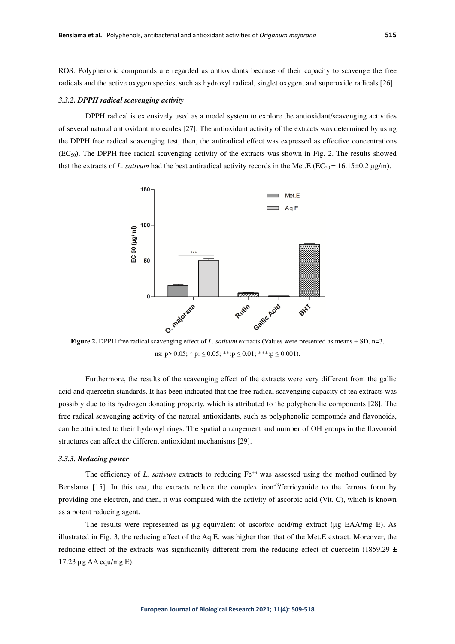ROS. Polyphenolic compounds are regarded as antioxidants because of their capacity to scavenge the free radicals and the active oxygen species, such as hydroxyl radical, singlet oxygen, and superoxide radicals [26].

#### *3.3.2. DPPH radical scavenging activity*

DPPH radical is extensively used as a model system to explore the antioxidant/scavenging activities of several natural antioxidant molecules [27]. The antioxidant activity of the extracts was determined by using the DPPH free radical scavenging test, then, the antiradical effect was expressed as effective concentrations (EC50). The DPPH free radical scavenging activity of the extracts was shown in Fig. 2. The results showed that the extracts of *L. sativum* had the best antiradical activity records in the Met.E ( $EC_{50} = 16.15 \pm 0.2 \,\mu g/m$ ).



**Figure 2.** DPPH free radical scavenging effect of *L. sativum* extracts (Values were presented as means ± SD, n=3, ns:  $p > 0.05$ ; \*  $p: \leq 0.05$ ; \*\*: $p \leq 0.01$ ; \*\*\*: $p \leq 0.001$ ).

Furthermore, the results of the scavenging effect of the extracts were very different from the gallic acid and quercetin standards. It has been indicated that the free radical scavenging capacity of tea extracts was possibly due to its hydrogen donating property, which is attributed to the polyphenolic components [28]. The free radical scavenging activity of the natural antioxidants, such as polyphenolic compounds and flavonoids, can be attributed to their hydroxyl rings. The spatial arrangement and number of OH groups in the flavonoid structures can affect the different antioxidant mechanisms [29].

## *3.3.3. Reducing power*

The efficiency of *L. sativum* extracts to reducing  $Fe^{+3}$  was assessed using the method outlined by Benslama [15]. In this test, the extracts reduce the complex iron<sup>+3</sup>/ferricyanide to the ferrous form by providing one electron, and then, it was compared with the activity of ascorbic acid (Vit. C), which is known as a potent reducing agent.

The results were represented as µg equivalent of ascorbic acid/mg extract (µg EAA/mg E). As illustrated in Fig. 3, the reducing effect of the Aq.E. was higher than that of the Met.E extract. Moreover, the reducing effect of the extracts was significantly different from the reducing effect of quercetin (1859.29  $\pm$ 17.23 µg AA equ/mg E).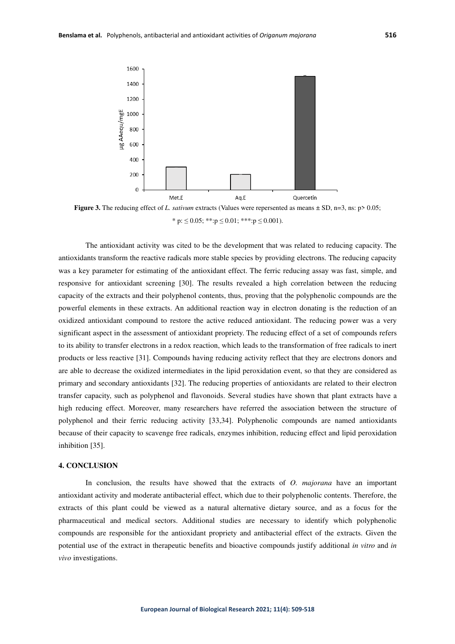

**Figure 3.** The reducing effect of *L. sativum* extracts (Values were repersented as means  $\pm$  SD, n=3, ns: p> 0.05; \* p:  $\leq 0.05$ ; \*\*:p  $\leq 0.01$ ; \*\*\*:p  $\leq 0.001$ ).

 The antioxidant activity was cited to be the development that was related to reducing capacity. The antioxidants transform the reactive radicals more stable species by providing electrons. The reducing capacity was a key parameter for estimating of the antioxidant effect. The ferric reducing assay was fast, simple, and responsive for antioxidant screening [30]. The results revealed a high correlation between the reducing capacity of the extracts and their polyphenol contents, thus, proving that the polyphenolic compounds are the powerful elements in these extracts. An additional reaction way in electron donating is the reduction of an oxidized antioxidant compound to restore the active reduced antioxidant. The reducing power was a very significant aspect in the assessment of antioxidant propriety. The reducing effect of a set of compounds refers to its ability to transfer electrons in a redox reaction, which leads to the transformation of free radicals to inert products or less reactive [31]. Compounds having reducing activity reflect that they are electrons donors and are able to decrease the oxidized intermediates in the lipid peroxidation event, so that they are considered as primary and secondary antioxidants [32]. The reducing properties of antioxidants are related to their electron transfer capacity, such as polyphenol and flavonoids. Several studies have shown that plant extracts have a high reducing effect. Moreover, many researchers have referred the association between the structure of polyphenol and their ferric reducing activity [33,34]. Polyphenolic compounds are named antioxidants because of their capacity to scavenge free radicals, enzymes inhibition, reducing effect and lipid peroxidation inhibition [35].

## **4. CONCLUSION**

In conclusion, the results have showed that the extracts of *O. majorana* have an important antioxidant activity and moderate antibacterial effect, which due to their polyphenolic contents. Therefore, the extracts of this plant could be viewed as a natural alternative dietary source, and as a focus for the pharmaceutical and medical sectors. Additional studies are necessary to identify which polyphenolic compounds are responsible for the antioxidant propriety and antibacterial effect of the extracts. Given the potential use of the extract in therapeutic benefits and bioactive compounds justify additional *in vitro* and *in vivo* investigations.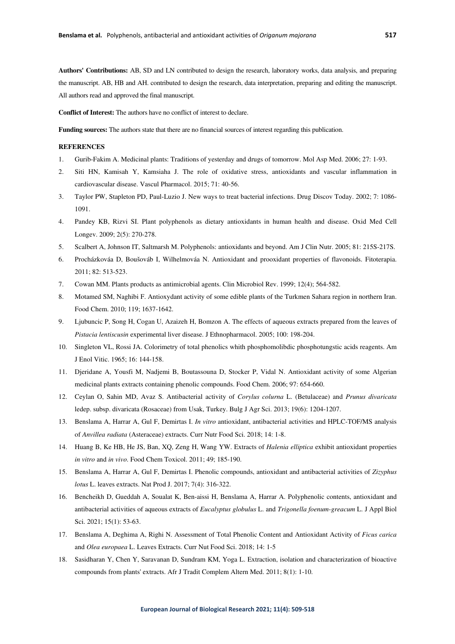**Authors' Contributions:** AB, SD and LN contributed to design the research, laboratory works, data analysis, and preparing the manuscript. AB, HB and AH. contributed to design the research, data interpretation, preparing and editing the manuscript. All authors read and approved the final manuscript.

**Conflict of Interest:** The authors have no conflict of interest to declare.

**Funding sources:** The authors state that there are no financial sources of interest regarding this publication.

## **REFERENCES**

- 1. Gurib-Fakim A. Medicinal plants: Traditions of yesterday and drugs of tomorrow. Mol Asp Med. 2006; 27: 1-93.
- 2. Siti HN, Kamisah Y, Kamsiaha J. The role of oxidative stress, antioxidants and vascular inflammation in cardiovascular disease. Vascul Pharmacol. 2015; 71: 40-56.
- 3. Taylor PW, Stapleton PD, Paul-Luzio J. New ways to treat bacterial infections. Drug Discov Today. 2002; 7: 1086- 1091.
- 4. Pandey KB, Rizvi SI. Plant polyphenols as dietary antioxidants in human health and disease. Oxid Med Cell Longev. 2009; 2(5): 270-278.
- 5. Scalbert A, Johnson IT, Saltmarsh M. Polyphenols: antioxidants and beyond. Am J Clin Nutr. 2005; 81: 215S-217S.
- 6. Procházkováa D, Boušováb I, Wilhelmováa N. Antioxidant and prooxidant properties of flavonoids. Fitoterapia. 2011; 82: 513-523.
- 7. Cowan MM. Plants products as antimicrobial agents. Clin Microbiol Rev. 1999; 12(4); 564-582.
- 8. Motamed SM, Naghibi F. Antioxydant activity of some edible plants of the Turkmen Sahara region in northern Iran. Food Chem. 2010; 119; 1637-1642.
- 9. Ljubuncic P, Song H, Cogan U, Azaizeh H, Bomzon A. The effects of aqueous extracts prepared from the leaves of *Pistacia lentiscusin* experimental liver disease. J Ethnopharmacol. 2005; 100: 198-204.
- 10. Singleton VL, Rossi JA. Colorimetry of total phenolics whith phosphomolibdic phosphotungstic acids reagents. Am J Enol Vitic. 1965; 16: 144-158.
- 11. Djeridane A, Yousfi M, Nadjemi B, Boutassouna D, Stocker P, Vidal N. Antioxidant activity of some Algerian medicinal plants extracts containing phenolic compounds. Food Chem. 2006; 97: 654-660.
- 12. Ceylan O, Sahin MD, Avaz S. Antibacterial activity of *Corylus colurna* L. (Betulaceae) and *Prunus divaricata* ledep. subsp. divaricata (Rosaceae) from Usak, Turkey. Bulg J Agr Sci. 2013; 19(6): 1204-1207.
- 13. Benslama A, Harrar A, Gul F, Demirtas I. *In vitro* antioxidant, antibacterial activities and HPLC-TOF/MS analysis of *Anvillea radiata* (Asteraceae) extracts. Curr Nutr Food Sci. 2018; 14: 1-8.
- 14. Huang B, Ke HB, He JS, Ban, XQ, Zeng H, Wang YW. Extracts of *Halenia elliptica* exhibit antioxidant properties *in vitro* and *in vivo*. Food Chem Toxicol. 2011; 49; 185-190.
- 15. Benslama A, Harrar A, Gul F, Demirtas I. Phenolic compounds, antioxidant and antibacterial activities of *Zizyphus lotus* L. leaves extracts. Nat Prod J. 2017; 7(4): 316-322.
- 16. Bencheikh D, Gueddah A, Soualat K, Ben-aissi H, Benslama A, Harrar A. Polyphenolic contents, antioxidant and antibacterial activities of aqueous extracts of *Eucalyptus globulus* L. and *Trigonella foenum-greacum* L. J Appl Biol Sci. 2021; 15(1): 53-63.
- 17. Benslama A, Deghima A, Righi N. Assessment of Total Phenolic Content and Antioxidant Activity of *Ficus carica* and *Olea europaea* L. Leaves Extracts. Curr Nut Food Sci. 2018; 14: 1-5
- 18. Sasidharan Y, Chen Y, Saravanan D, Sundram KM, Yoga L. Extraction, isolation and characterization of bioactive compounds from plants' extracts. Afr J Tradit Complem Altern Med. 2011; 8(1): 1-10.